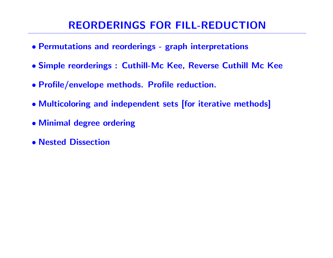# REORDERINGS FOR FILL-REDUCTION

- Permutations and reorderings graph interpretations
- Simple reorderings : Cuthill-Mc Kee, Reverse Cuthill Mc Kee
- Profile/envelope methods. Profile reduction.
- Multicoloring and independent sets [for iterative methods]
- Minimal degree ordering
- Nested Dissection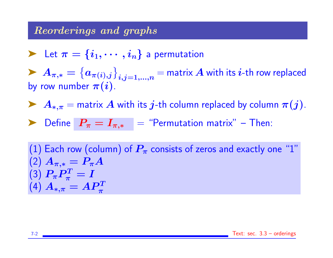#### Reorderings and graphs

Let 
$$
\pi = \{i_1, \dots, i_n\}
$$
 a permutation

 $\blacktriangleright \ A_{\pi,*} = \big\{ a_{\pi(i),j} \big\}_{i,j=1,...,n} =$  matrix  $A$  with its  $i$ -th row replaced by row number  $\pi(i)$ .

A<sub>\*</sub>, $\pi$  = matrix A with its j-th column replaced by column  $\pi(j)$ .

$$
\blacktriangleright \text{ Define } P_{\pi} = I_{\pi,*} = \text{``Permutation matrix''} - \text{Then:}
$$

(1) Each row (column) of  $P_\pi$  consists of zeros and exactly one "1" (2)  $A_{\pi,*} = P_{\pi}A$ (3)  $P_{\pi} P_{\pi}^T$  $\frac{d^T}{d\pi}=I$  $\left(4\right)$   $A_{*,\pi}=AP^T_{\pi}$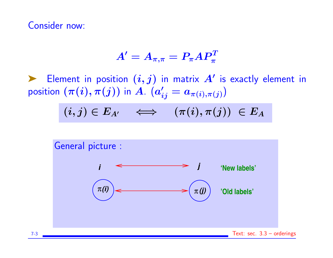Consider now:

$$
A'=A_{\pi,\pi}=P_\pi AP_\pi^T
$$

Element in position  $(i, j)$  in matrix  $A'$  is exactly element in position  $(\pi(i),\pi(j))$  in  $A$ .  $(a'_{ij}=a_{\pi(i),\pi(j)})$ 

 $(i, j) \in E_{A'} \quad \Longleftrightarrow \quad (\pi(i), \pi(j)) \ \in E_A$ 

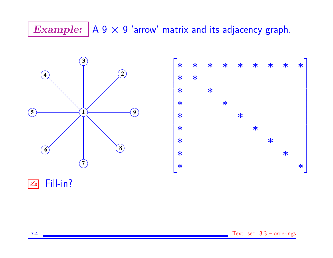# Example:  $|A 9 \times 9$  'arrow' matrix and its adjacency graph.



 $\boxed{\mathbb{Z}^n}$  Fill-in?

7-4 Text: sec. 3.3 – orderings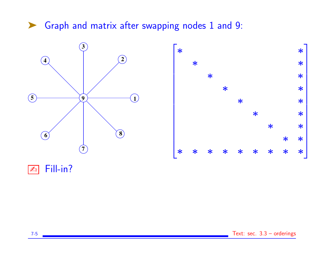## ▶ Graph and matrix after swapping nodes 1 and 9:





 $\boxed{\mathbb{Z}_D}$  Fill-in?

7-5 Text: sec. 3.3 – orderings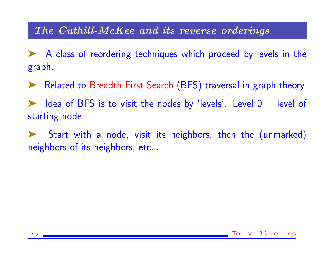## The Cuthill-McKee and its reverse orderings

➤ A class of reordering techniques which proceed by levels in the graph.

➤ Related to Breadth First Search (BFS) traversal in graph theory.

Idea of BFS is to visit the nodes by 'levels'. Level  $0 =$  level of starting node.

Start with a node, visit its neighbors, then the (unmarked) neighbors of its neighbors, etc...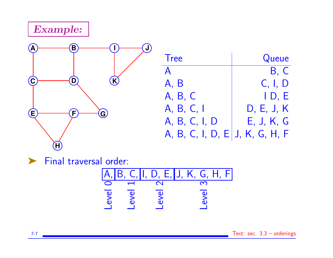Example:



| <b>Tree</b>    | Queue               |
|----------------|---------------------|
| $\mathsf{A}$   | B, C                |
| A, B           | C, I, D             |
| A, B, C        | I D, E              |
| A, B, C, I     | D, E, J, K          |
| A, B, C, I, D  | E, J, K, G          |
| A, B, C, I, D, | $E$ , J, K, G, H, F |

➤ Final traversal order:

A, B, C, I, D, E, J, K, G, H, F Level <sup>0</sup> Level <sup>1</sup> Level <sup>2</sup> Level <sup>3</sup>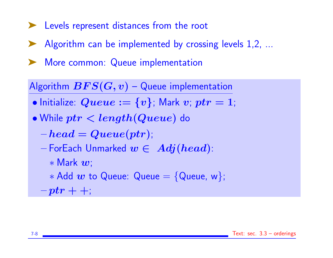- ➤ Levels represent distances from the root
- ▶ Algorithm can be implemented by crossing levels 1,2, ...
- ➤ More common: Queue implementation

Algorithm  $BFS(G, v)$  – Queue implementation

- Initialize:  $Queue := \{v\}$ ; Mark  $v$ ;  $ptr = 1$ ;
- While ptr < length(Queue) do
	- $-\boldsymbol{head} = \boldsymbol{Queue}(ptr);$
	- ForEach Unmarked  $w \in Adj(head)$ :
		- ∗ Mark w;
		- $*$  Add  $w$  to Queue: Queue = {Queue, w};
	- $-ptr+;$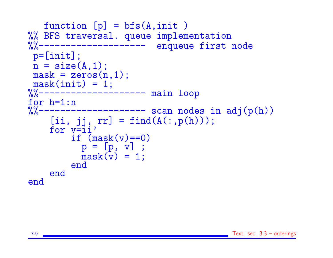```
function [p] = bfs(A, init)%% BFS traversal. queue implementation
%%-------------------- enqueue first node
p=[init];
n = size(A, 1);mask = zeros(n,1);{{\sf mask}(init)} = 1;<br>%%--------------
               --------- main loop
for h=1:n<br>%%--------
             ----------- scan nodes in adj(p(h))
    [ii, jj, rr] = find(A(:,p(h)));for v=ii'
         if (maxk(v) == 0)p = [p, v];
           mask(v) = 1;end
    end
end
```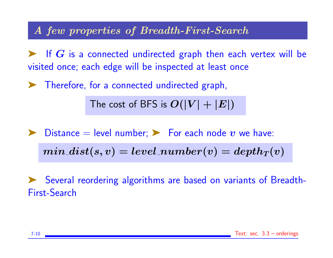#### A few properties of Breadth-First-Search

 $\blacktriangleright$  If  $G$  is a connected undirected graph then each vertex will be visited once; each edge will be inspected at least once

➤ Therefore, for a connected undirected graph,

The cost of BFS is  $O(|V| + |E|)$ 

 $\blacktriangleright$  Distance = level number;  $\blacktriangleright$  For each node v we have:

 $min\_dist(s, v) = level\_number(v) = depth_T(v)$ 

Several reordering algorithms are based on variants of Breadth-First-Search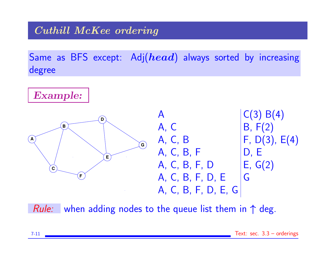## Cuthill McKee ordering

Same as BFS except: Adj( $head$ ) always sorted by increasing degree



*Rule:* when adding nodes to the queue list them in  $\uparrow$  deg.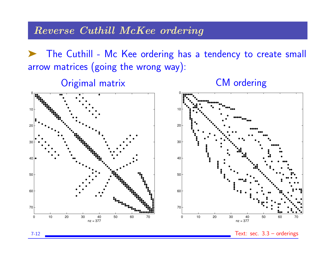#### Reverse Cuthill McKee ordering

➤ The Cuthill - Mc Kee ordering has a tendency to create small arrow matrices (going the wrong way):

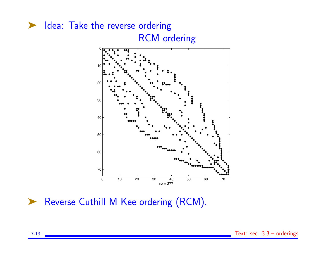

▶ Reverse Cuthill M Kee ordering (RCM).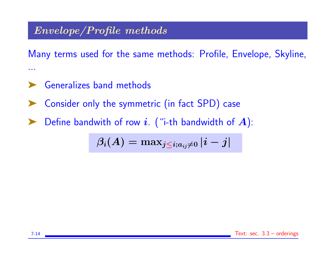## Envelope/Profile methods

Many terms used for the same methods: Profile, Envelope, Skyline, ...

- ➤ Generalizes band methods
- Consider only the symmetric (in fact SPD) case
- $\blacktriangleright$  Define bandwith of row i. ("i-th bandwidth of A):

$$
\beta_i(A) = \text{max}_{j \leq i; a_{ij} \neq 0} \left| i - j \right|
$$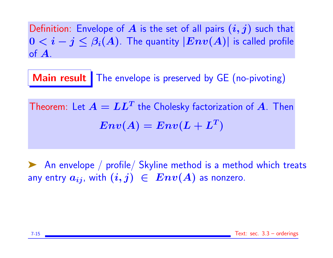Definition: Envelope of A is the set of all pairs  $(i, j)$  such that  $0 < i - j \leq \beta_i(A)$ . The quantity  $|Env(A)|$  is called profile of A.

Main result The envelope is preserved by GE (no-pivoting)

Theorem: Let  $\boldsymbol{A} = \boldsymbol{L}\boldsymbol{L^T}$  the Cholesky factorization of  $\boldsymbol{A}$ . Then  $Env(A) = Env(L + L^T)$ 

➤ An envelope / profile/ Skyline method is a method which treats any entry  $a_{ij}$ , with  $(i, j) \in Env(A)$  as nonzero.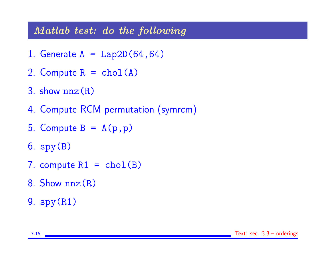### Matlab test: do the following

- 1. Generate  $A = Lap2D(64, 64)$
- 2. Compute  $R = chol(A)$
- 3. show  $nnz(R)$
- 4. Compute RCM permutation (symrcm)
- 5. Compute  $B = A(p, p)$
- 6. spy(B)
- 7. compute  $R1 = chol(B)$
- 8. Show  $nnz(R)$
- 9. spy(R1)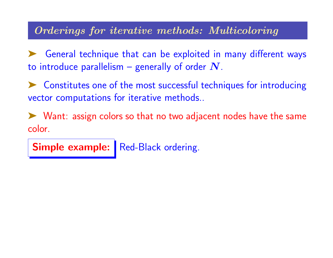## Orderings for iterative methods: Multicoloring

➤ General technique that can be exploited in many different ways to introduce parallelism – generally of order  $N$ .

➤ Constitutes one of the most successful techniques for introducing vector computations for iterative methods..

➤ Want: assign colors so that no two adjacent nodes have the same color.

Simple example: Red-Black ordering.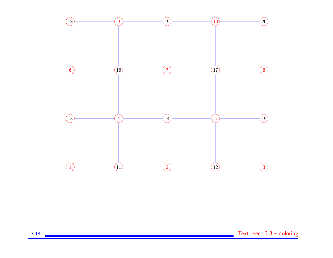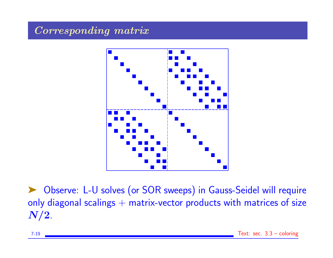## Corresponding matrix



▶ Observe: L-U solves (or SOR sweeps) in Gauss-Seidel will require only diagonal scalings  $+$  matrix-vector products with matrices of size  $N/2$ .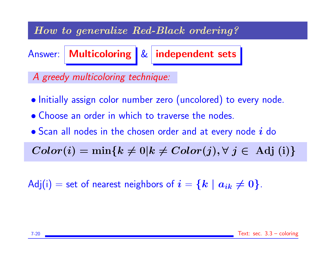## How to generalize Red-Black ordering?

Answer: Multicoloring & independent sets

A greedy multicoloring technique:

- Initially assign color number zero (uncolored) to every node.
- Choose an order in which to traverse the nodes.
- $\bullet$  Scan all nodes in the chosen order and at every node  $i$  do

 $Color(i) = min\{k \neq 0 | k \neq Color(j), \forall j \in Adj(i)\}$ 

Adj(i) = set of nearest neighbors of  $i = \{k \mid a_{ik} \neq 0\}$ .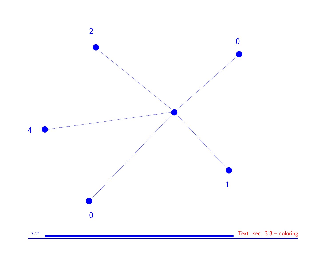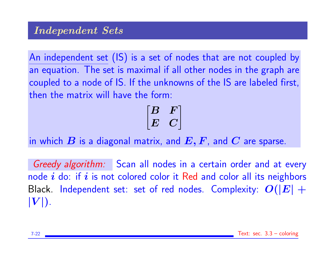An independent set (IS) is a set of nodes that are not coupled by an equation. The set is maximal if all other nodes in the graph are coupled to a node of IS. If the unknowns of the IS are labeled first, then the matrix will have the form:

$$
\begin{bmatrix} B & F \\ E & C \end{bmatrix}
$$

in which  $B$  is a diagonal matrix, and  $E, F$ , and  $C$  are sparse.

Greedy algorithm: Scan all nodes in a certain order and at every node  $i$  do: if  $i$  is not colored color it Red and color all its neighbors Black. Independent set: set of red nodes. Complexity:  $O(|E| +$  $|V|$ ).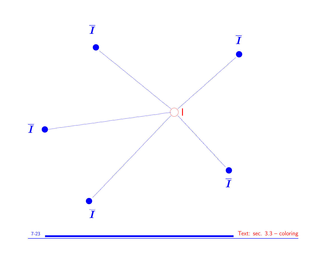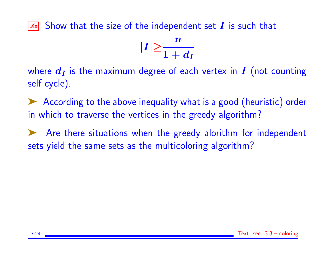$\boxed{\mathbb{Z}_0}$  Show that the size of the independent set  $\bm{I}$  is such that



where  $d_I$  is the maximum degree of each vertex in  $I$  (not counting self cycle).

➤ According to the above inequality what is a good (heuristic) order in which to traverse the vertices in the greedy algorithm?

➤ Are there situations when the greedy alorithm for independent sets yield the same sets as the multicoloring algorithm?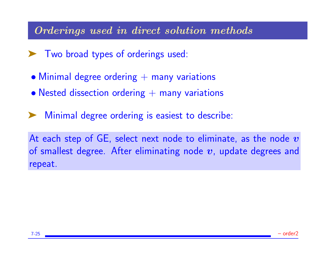#### Orderings used in direct solution methods

- ➤ Two broad types of orderings used:
- $\bullet$  Minimal degree ordering  $+$  many variations
- Nested dissection ordering  $+$  many variations
- Minimal degree ordering is easiest to describe:

At each step of  $GE$ , select next node to eliminate, as the node  $v$ of smallest degree. After eliminating node  $v$ , update degrees and repeat.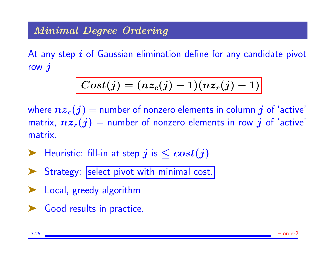## Minimal Degree Ordering

At any step  $\boldsymbol{i}$  of Gaussian elimination define for any candidate pivot row  $\boldsymbol{j}$ 

$$
Cost(j)=(nz_c(j)-1)(nz_r(j)-1) \Big|
$$

where  $nz_c(j)$  = number of nonzero elements in column j of 'active' matrix,  $nz_r(j)$  = number of nonzero elements in row j of 'active' matrix.

 $\blacktriangleright$  Heuristic: fill-in at step j is  $\leq cost(j)$ 

▶ Strategy: |select pivot with minimal cost.

- ➤ Local, greedy algorithm
- ► Good results in practice.

7-26 – order2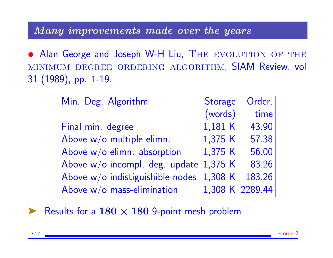#### Many improvements made over the years

• Alan George and Joseph W-H Liu, THE EVOLUTION OF THE minimum degree ordering algorithm, SIAM Review, vol 31 (1989), pp. 1-19.

| Min. Deg. Algorithm              | <b>Storage</b> | Order.          |
|----------------------------------|----------------|-----------------|
|                                  | (words)        | time            |
| Final min. degree                | 1,181 K        | 43.90           |
| Above w/o multiple elimn.        | 1,375 K        | 57.38           |
| Above $w/o$ elimn. absorption    | 1,375 K        | 56.00           |
| Above $w/o$ incompl. deg. update | 1,375 K        | 83.26           |
| Above w/o indistiguishible nodes | 1,308 K        | 183.26          |
| Above $w/o$ mass-elimination     |                | 1,308 K 2289.44 |

Results for a  $180 \times 180$  9-point mesh problem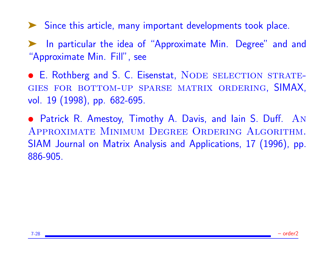➤ Since this article, many important developments took place.

In particular the idea of "Approximate Min. Degree" and and "Approximate Min. Fill", see

• E. Rothberg and S. C. Eisenstat, NODE SELECTION STRATEgies for bottom-up sparse matrix ordering, SIMAX, vol. 19 (1998), pp. 682-695.

• Patrick R. Amestoy, Timothy A. Davis, and lain S. Duff. AN Approximate Minimum Degree Ordering Algorithm. SIAM Journal on Matrix Analysis and Applications, 17 (1996), pp. 886-905.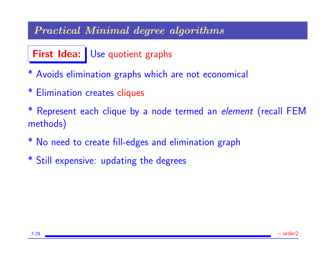## Practical Minimal degree algorithms

# First Idea: Use quotient graphs

- \* Avoids elimination graphs which are not economical
- \* Elimination creates cliques
- \* Represent each clique by a node termed an element (recall FEM methods)
- \* No need to create fill-edges and elimination graph
- \* Still expensive: updating the degrees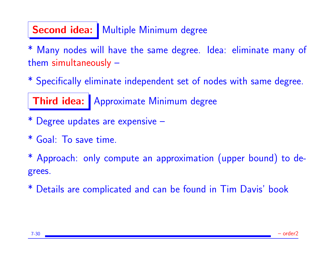# Second idea: | Multiple Minimum degree

Many nodes will have the same degree. Idea: eliminate many of them simultaneously –

\* Specifically eliminate independent set of nodes with same degree.

Third idea: Approximate Minimum degree

- \* Degree updates are expensive –
- \* Goal: To save time.

\* Approach: only compute an approximation (upper bound) to degrees.

\* Details are complicated and can be found in Tim Davis' book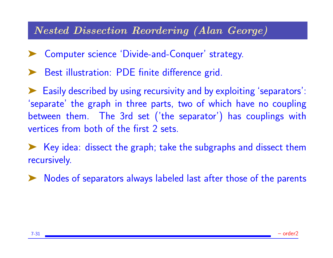### Nested Dissection Reordering (Alan George)

- ➤ Computer science 'Divide-and-Conquer' strategy.
- Best illustration: PDE finite difference grid.

➤ Easily described by using recursivity and by exploiting 'separators': 'separate' the graph in three parts, two of which have no coupling between them. The 3rd set ('the separator') has couplings with vertices from both of the first 2 sets.

➤ Key idea: dissect the graph; take the subgraphs and dissect them recursively.

➤ Nodes of separators always labeled last after those of the parents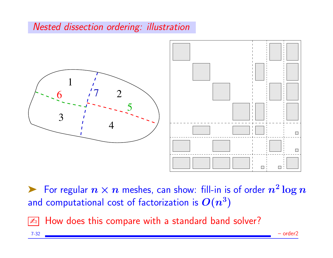#### Nested dissection ordering: illustration



For regular  $n \times n$  meshes, can show: fill-in is of order  $n^2 \log n$ and computational cost of factorization is  $O(n^3)$ 

 $\sqrt{4}$  How does this compare with a standard band solver?

7-32 – order2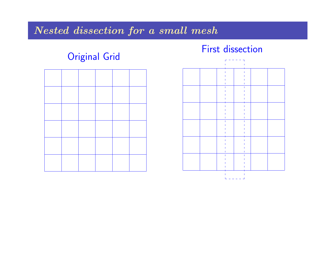## Nested dissection for a small mesh

## Original Grid

#### First dissection

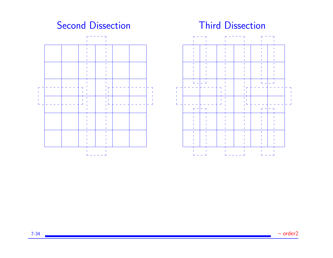#### Second Dissection **Third Dissection**





7-34 – order2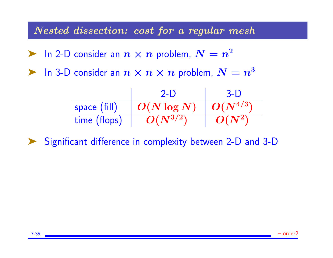Nested dissection: cost for a regular mesh

**Example 1** In 2-D consider an  $n \times n$  problem,  $N = n^2$ 

 $\blacktriangleright$  In 3-D consider an  $n \times n \times n$  problem,  $N = n^3$ 

|              | $2-1$         | $3-1$        |
|--------------|---------------|--------------|
| space (fill) | $O(N \log N)$ | $O(N^{4/3})$ |
| time (flops) | $O(N^{3/2})$  | $O(N^2)$     |

Significant difference in complexity between 2-D and 3-D